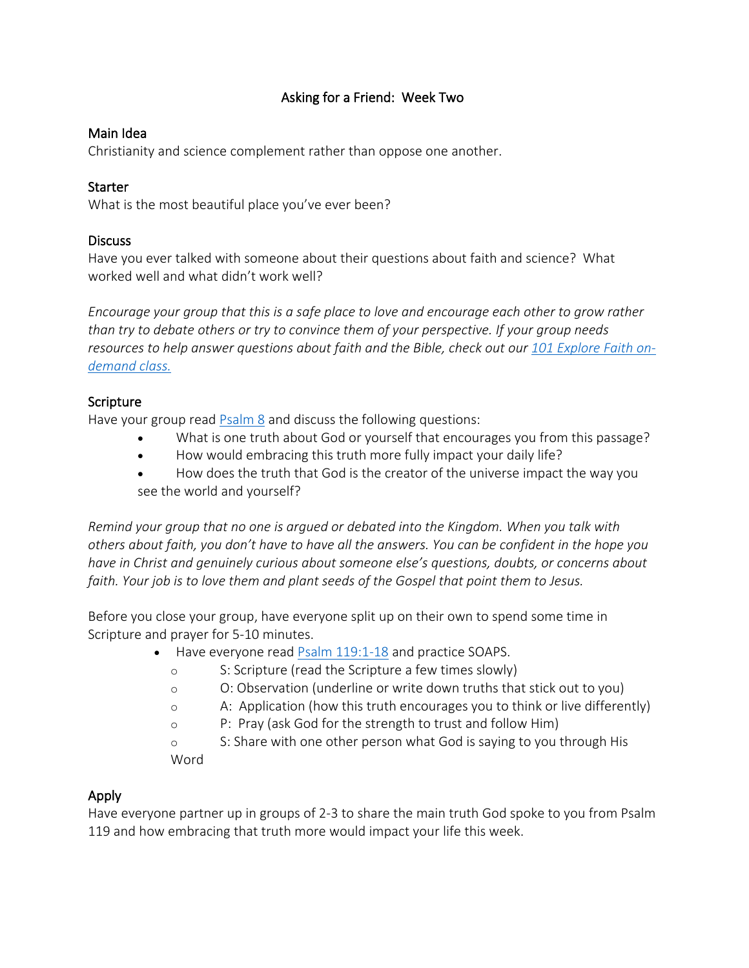# Asking for a Friend: Week Two

## Main Idea

Christianity and science complement rather than oppose one another.

#### **Starter**

What is the most beautiful place you've ever been?

#### **Discuss**

Have you ever talked with someone about their questions about faith and science? What worked well and what didn't work well?

*Encourage your group that this is a safe place to love and encourage each other to grow rather than try to debate others or try to convince them of your perspective. If your group needs resources to help answer questions about faith and the Bible, check out our 101 Explore Faith ondemand class.*

## Scripture

Have your group read [Psalm 8](https://www.biblegateway.com/passage/?search=Psalm+8&version=NLT) and discuss the following questions:

- What is one truth about God or yourself that encourages you from this passage?
- How would embracing this truth more fully impact your daily life?
- How does the truth that God is the creator of the universe impact the way you see the world and yourself?

*Remind your group that no one is argued or debated into the Kingdom. When you talk with others about faith, you don't have to have all the answers. You can be confident in the hope you have in Christ and genuinely curious about someone else's questions, doubts, or concerns about faith. Your job is to love them and plant seeds of the Gospel that point them to Jesus.*

Before you close your group, have everyone split up on their own to spend some time in Scripture and prayer for 5-10 minutes.

- Have everyone read [Psalm 119:1-18](https://www.biblegateway.com/passage/?search=Psalm+139%3A1-18&version=NLT) and practice SOAPS.
	- o S: Scripture (read the Scripture a few times slowly)
	- o O: Observation (underline or write down truths that stick out to you)
	- o A: Application (how this truth encourages you to think or live differently)
	- o P: Pray (ask God for the strength to trust and follow Him)

o S: Share with one other person what God is saying to you through His Word

## Apply

Have everyone partner up in groups of 2-3 to share the main truth God spoke to you from Psalm 119 and how embracing that truth more would impact your life this week.